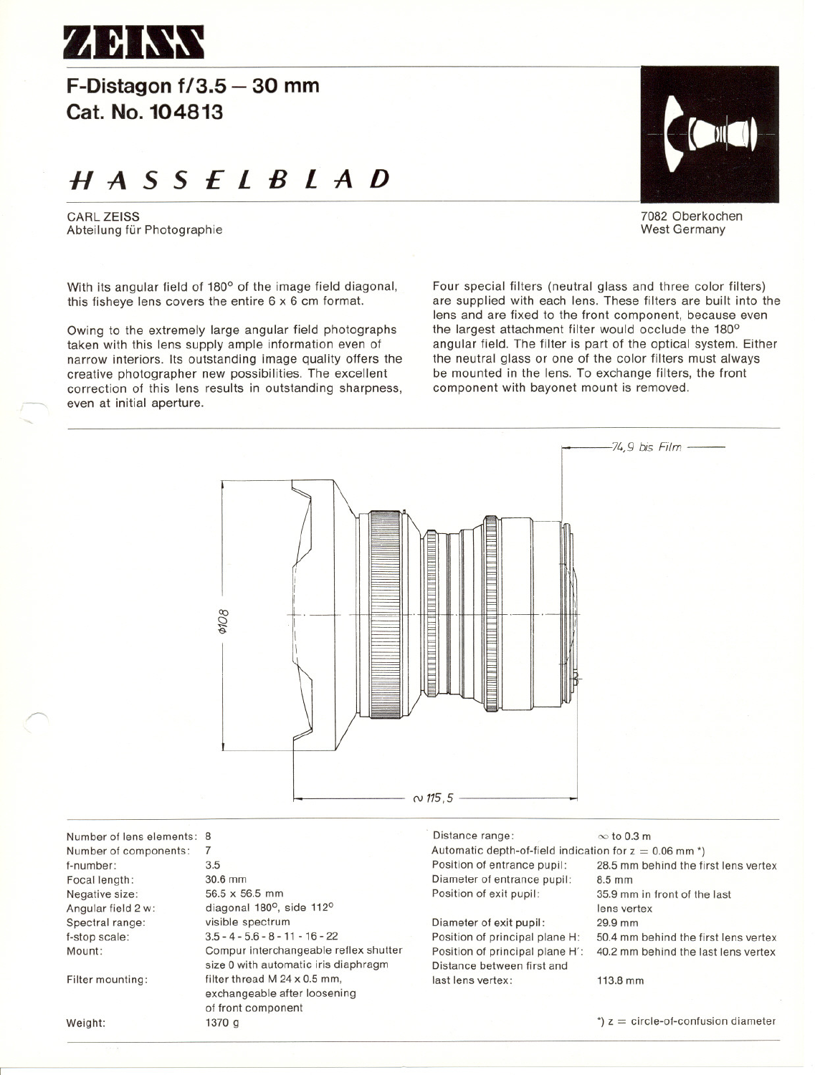

**F-Distagon 1/3.5 - 30 mm Cat. No. 104813**

# **HASSElBlAD**

CARl ZEISS Abteilung für Photographie

With its angular field of 180<sup>o</sup> of the image field diagonal, this fisheve lens covers the entire  $6 \times 6$  cm format.

Owing to the extremely large angular field photographs taken with this lens supply ample information even of narrow interiors. Its outstanding image quality offers the creative photographer new possibilities. The excellent correction of this lens results in outstanding sharpness, even at initial aperture.



7082 Oberkochen West Germany

Four special filters (neutral glass and three color filters) are supplied with each lens. These filters are built into the lens and are fixed to the front component, because even the largest attachment filter would occlude the  $180^\circ$ angular field. The filter is part of the optical system. Either the neutral glass or one of the color filters must always be mounted in the lens. To exchange filters, the front component with bayonet mount is removed.



Number of lens elements: 8 Number of eomponents: f-number: Focal length: Negative size: Angular field 2 w: Spectral range: f-stop seale: Mount:

Filter mounting:

Weight:

~

7 3.5 30.6 mm 56.5 x 56.5 mm diagonal 180°, side 112° visible spectrum  $3.5 - 4 - 5.6 - 8 - 11 - 16 - 22$ Compur interehangeable reflex shutter size 0 with automatic iris diaphragm filter thread M 24 x 0.5 mm, exehangeable after loosening of front eomponent 1370 9

Distance range:  $\infty$  to 0.3 m Automatic depth-of-field indication for  $z = 0.06$  mm <sup>\*</sup>)<br>Position of entrance pupil: 28.5 mm behind the fi Diameter of entrance pupil:<br>Position of exit pupil:

Diameter of exit pupil: Position of principal plane H: Position of principal plane H': Distanee between first and last lens vertex: 113.8 mm

28.5 mm behind the first lens vertex<br>8.5 mm 35.9 mm in front of the last Jens vertex 29.9 mm 50.4 mm behind the first lens vertex 40.2 mm behind the last lens vertex